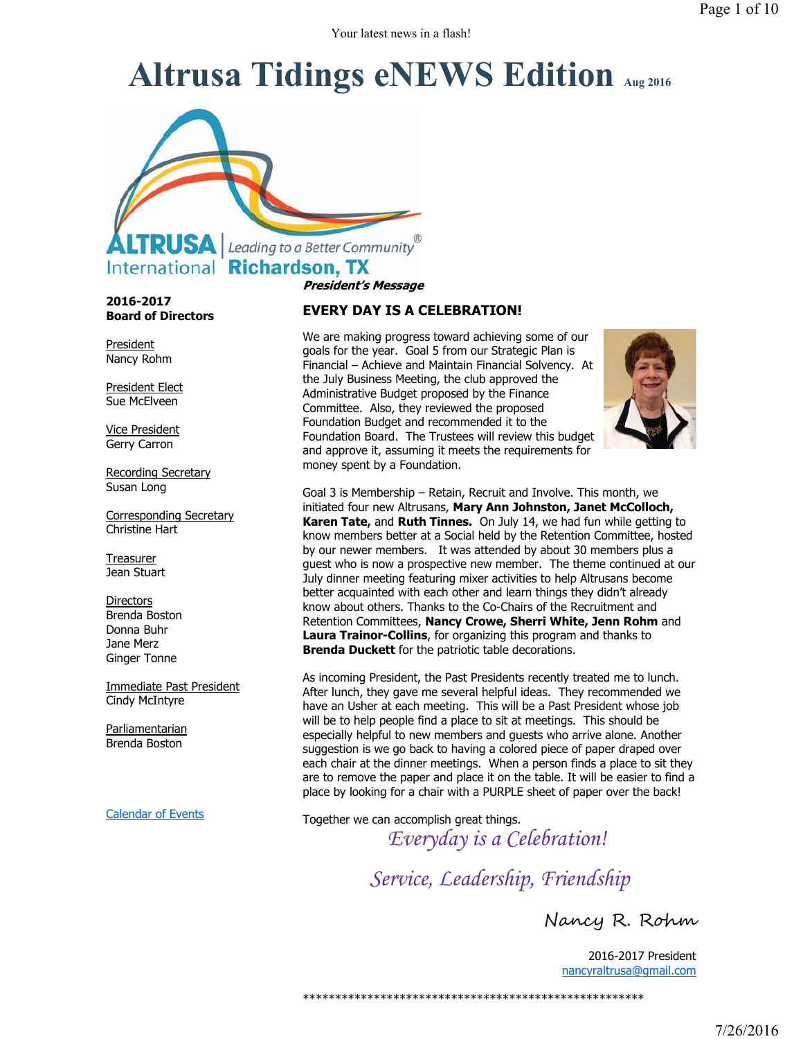Your latest news in a flash!

# **Altrusa Tidings eNEWS Edition Aug 2016**



**President's Message**

**2016-2017 Board of Directors**

President Nancy Rohm

President Elect Sue McElveen

Vice President Gerry Carron

Recording Secretary Susan Long

Corresponding Secretary Christine Hart

**Treasurer** Jean Stuart

**Directors** Brenda Boston Donna Buhr Jane Merz Ginger Tonne

Immediate Past President Cindy McIntyre

Parliamentarian Brenda Boston

Calendar of Events

# **EVERY DAY IS A CELEBRATION!**

We are making progress toward achieving some of our goals for the year. Goal 5 from our Strategic Plan is Financial – Achieve and Maintain Financial Solvency. At the July Business Meeting, the club approved the Administrative Budget proposed by the Finance Committee. Also, they reviewed the proposed Foundation Budget and recommended it to the Foundation Board. The Trustees will review this budget and approve it, assuming it meets the requirements for money spent by a Foundation.



Goal 3 is Membership – Retain, Recruit and Involve. This month, we initiated four new Altrusans, **Mary Ann Johnston, Janet McColloch, Karen Tate,** and **Ruth Tinnes.** On July 14, we had fun while getting to know members better at a Social held by the Retention Committee, hosted by our newer members. It was attended by about 30 members plus a guest who is now a prospective new member. The theme continued at our July dinner meeting featuring mixer activities to help Altrusans become better acquainted with each other and learn things they didn't already know about others. Thanks to the Co-Chairs of the Recruitment and Retention Committees, **Nancy Crowe, Sherri White, Jenn Rohm** and **Laura Trainor-Collins**, for organizing this program and thanks to **Brenda Duckett** for the patriotic table decorations.

As incoming President, the Past Presidents recently treated me to lunch. After lunch, they gave me several helpful ideas. They recommended we have an Usher at each meeting. This will be a Past President whose job will be to help people find a place to sit at meetings. This should be especially helpful to new members and guests who arrive alone. Another suggestion is we go back to having a colored piece of paper draped over each chair at the dinner meetings. When a person finds a place to sit they are to remove the paper and place it on the table. It will be easier to find a place by looking for a chair with a PURPLE sheet of paper over the back!

Together we can accomplish great things.

*Everyday is a Celebration!*

*Service, Leadership, Friendship*

Nancy R. Rohm

2016-2017 President nancyraltrusa@gmail.com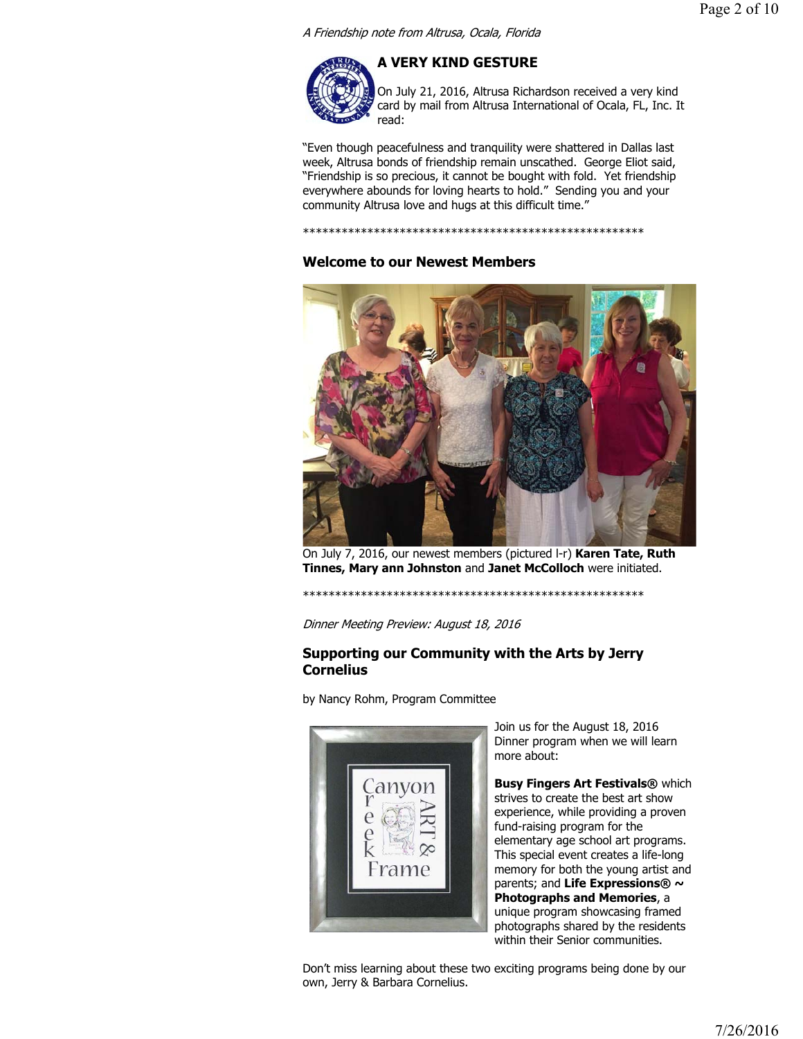#### A Friendship note from Altrusa, Ocala, Florida



# **A VERY KIND GESTURE**

On July 21, 2016, Altrusa Richardson received a very kind card by mail from Altrusa International of Ocala, FL, Inc. It read:

"Even though peacefulness and tranquility were shattered in Dallas last week, Altrusa bonds of friendship remain unscathed. George Eliot said, "Friendship is so precious, it cannot be bought with fold. Yet friendship everywhere abounds for loving hearts to hold." Sending you and your community Altrusa love and hugs at this difficult time."

#### \*\*\*\*\*\*\*\*\*\*\*\*\*\*\*\*\*\*\*\*\*\*\*\*\*\*\*\*\*\*\*\*\*\*\*\*\*\*\*\*\*\*\*\*\*\*\*\*\*\*\*\*\*

# **Welcome to our Newest Members**



On July 7, 2016, our newest members (pictured l-r) **Karen Tate, Ruth Tinnes, Mary ann Johnston** and **Janet McColloch** were initiated.

\*\*\*\*\*\*\*\*\*\*\*\*\*\*\*\*\*\*\*\*\*\*\*\*\*\*\*\*\*\*\*\*\*\*\*\*\*\*\*\*\*\*\*\*\*\*\*\*\*\*\*\*\*

Dinner Meeting Preview: August 18, 2016

# **Supporting our Community with the Arts by Jerry Cornelius**

by Nancy Rohm, Program Committee



Join us for the August 18, 2016 Dinner program when we will learn more about:

**Busy Fingers Art Festivals®** which strives to create the best art show experience, while providing a proven fund-raising program for the elementary age school art programs. This special event creates a life-long memory for both the young artist and parents; and **Life Expressions® ~ Photographs and Memories**, a unique program showcasing framed photographs shared by the residents within their Senior communities.

Don't miss learning about these two exciting programs being done by our own, Jerry & Barbara Cornelius.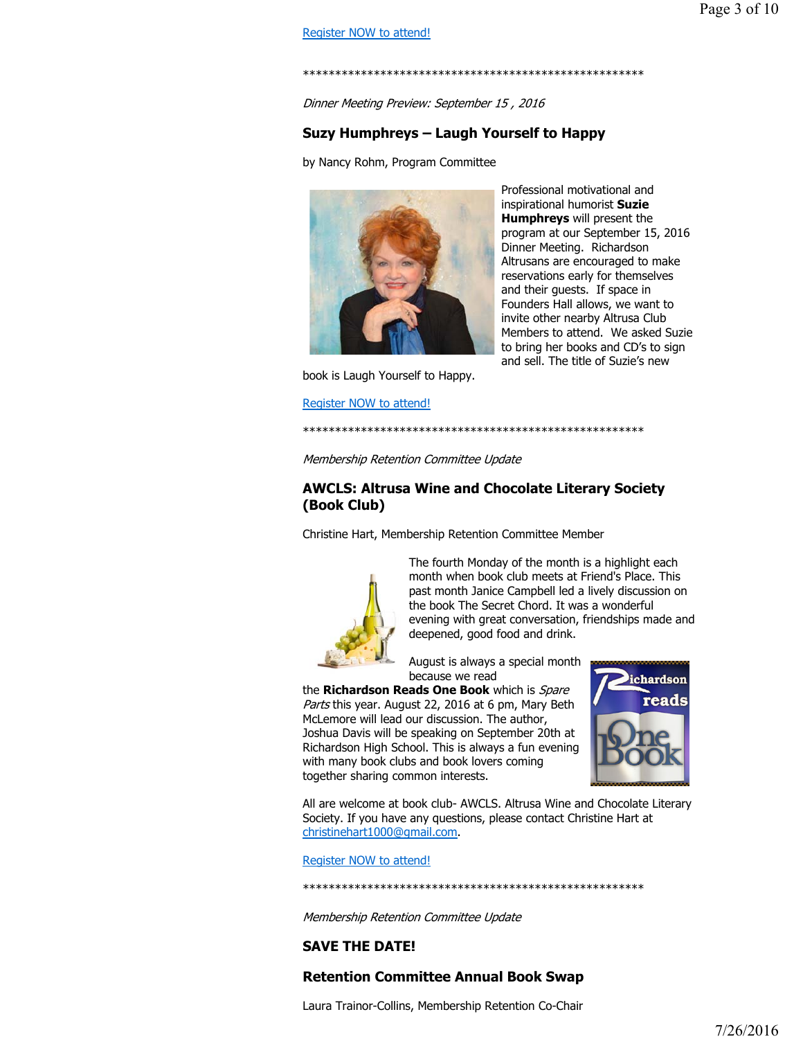#### \*\*\*\*\*\*\*\*\*\*\*\*\*\*\*\*\*\*\*\*\*\*\*\*\*\*\*\*\*\*\*\*\*\*\*\*\*\*\*\*\*\*\*\*\*\*\*\*\*\*\*\*\*

Dinner Meeting Preview: September 15 , 2016

# **Suzy Humphreys – Laugh Yourself to Happy**

by Nancy Rohm, Program Committee



Professional motivational and inspirational humorist **Suzie Humphreys** will present the program at our September 15, 2016 Dinner Meeting. Richardson Altrusans are encouraged to make reservations early for themselves and their guests. If space in Founders Hall allows, we want to invite other nearby Altrusa Club Members to attend. We asked Suzie to bring her books and CD's to sign and sell. The title of Suzie's new

book is Laugh Yourself to Happy.

#### Register NOW to attend!

\*\*\*\*\*\*\*\*\*\*\*\*\*\*\*\*\*\*\*\*\*\*\*\*\*\*\*\*\*\*\*\*\*\*\*\*\*\*\*\*\*\*\*\*\*\*\*\*\*\*\*\*\*

Membership Retention Committee Update

# **AWCLS: Altrusa Wine and Chocolate Literary Society (Book Club)**

Christine Hart, Membership Retention Committee Member



The fourth Monday of the month is a highlight each month when book club meets at Friend's Place. This past month Janice Campbell led a lively discussion on the book The Secret Chord. It was a wonderful evening with great conversation, friendships made and deepened, good food and drink.

August is always a special month because we read

the **Richardson Reads One Book** which is Spare Parts this year. August 22, 2016 at 6 pm, Mary Beth McLemore will lead our discussion. The author, Joshua Davis will be speaking on September 20th at Richardson High School. This is always a fun evening with many book clubs and book lovers coming together sharing common interests.



All are welcome at book club- AWCLS. Altrusa Wine and Chocolate Literary Society. If you have any questions, please contact Christine Hart at christinehart1000@gmail.com.

Register NOW to attend!

\*\*\*\*\*\*\*\*\*\*\*\*\*\*\*\*\*\*\*\*\*\*\*\*\*\*\*\*\*\*\*\*\*\*\*\*\*\*\*\*\*\*\*\*\*\*\*\*\*\*\*\*\*

Membership Retention Committee Update

# **SAVE THE DATE!**

# **Retention Committee Annual Book Swap**

Laura Trainor-Collins, Membership Retention Co-Chair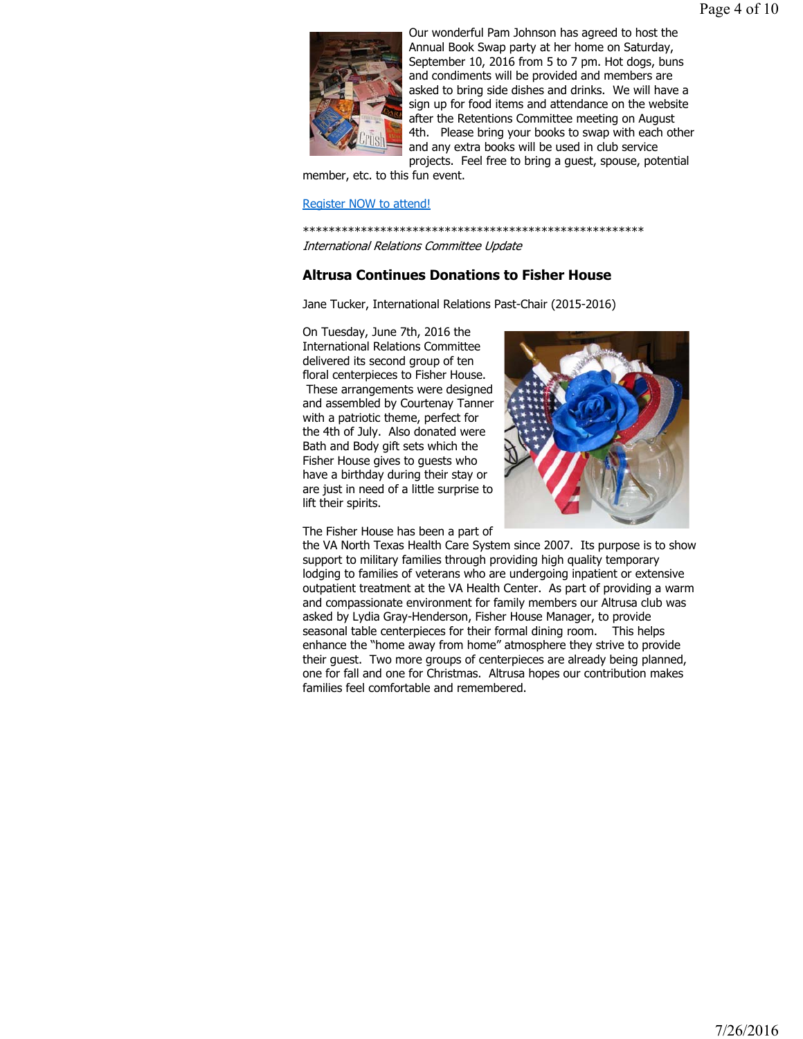

Our wonderful Pam Johnson has agreed to host the Annual Book Swap party at her home on Saturday, September 10, 2016 from 5 to 7 pm. Hot dogs, buns and condiments will be provided and members are asked to bring side dishes and drinks. We will have a sign up for food items and attendance on the website after the Retentions Committee meeting on August 4th. Please bring your books to swap with each other and any extra books will be used in club service

projects. Feel free to bring a guest, spouse, potential member, etc. to this fun event.

#### Register NOW to attend!

\*\*\*\*\*\*\*\*\*\*\*\*\*\*\*\*\*\*\*\*\*\*\*\*\*\*\*\*\*\*\*\*\*\*\*\*\*\*\*\*\*\*\*\*\*\*\*\*\*\*\*\*\* International Relations Committee Update

# **Altrusa Continues Donations to Fisher House**

Jane Tucker, International Relations Past-Chair (2015-2016)

On Tuesday, June 7th, 2016 the International Relations Committee delivered its second group of ten floral centerpieces to Fisher House. These arrangements were designed and assembled by Courtenay Tanner with a patriotic theme, perfect for the 4th of July. Also donated were Bath and Body gift sets which the Fisher House gives to guests who have a birthday during their stay or are just in need of a little surprise to lift their spirits.

The Fisher House has been a part of



the VA North Texas Health Care System since 2007. Its purpose is to show support to military families through providing high quality temporary lodging to families of veterans who are undergoing inpatient or extensive outpatient treatment at the VA Health Center. As part of providing a warm and compassionate environment for family members our Altrusa club was asked by Lydia Gray-Henderson, Fisher House Manager, to provide seasonal table centerpieces for their formal dining room. This helps enhance the "home away from home" atmosphere they strive to provide their guest. Two more groups of centerpieces are already being planned, one for fall and one for Christmas. Altrusa hopes our contribution makes families feel comfortable and remembered.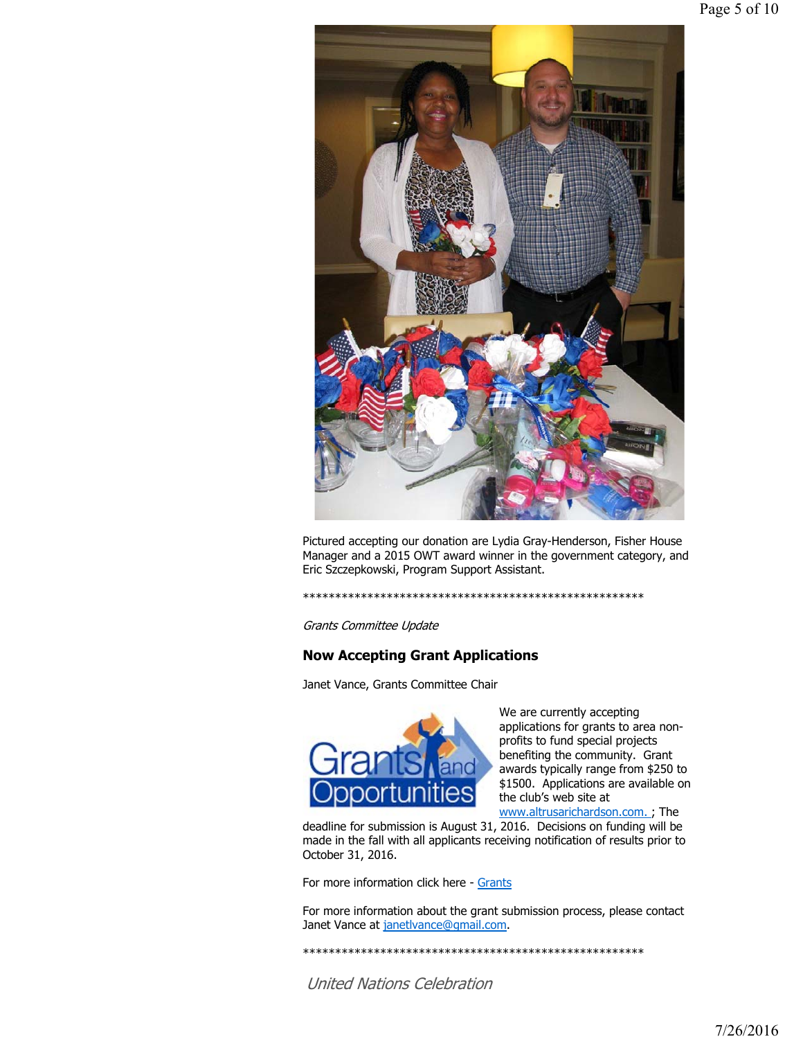

Pictured accepting our donation are Lydia Gray-Henderson, Fisher House Manager and a 2015 OWT award winner in the government category, and Eric Szczepkowski, Program Support Assistant.

#### \*\*\*\*\*\*\*\*\*\*\*\*\*\*\*\*\*\*\*\*\*\*\*\*\*\*\*\*\*\*\*\*\*\*\*\*\*\*\*\*\*\*\*\*\*\*\*\*\*\*\*\*\*

Grants Committee Update

### **Now Accepting Grant Applications**

Janet Vance, Grants Committee Chair



We are currently accepting applications for grants to area nonprofits to fund special projects benefiting the community. Grant awards typically range from \$250 to \$1500. Applications are available on the club's web site at

www.altrusarichardson.com. ; The

deadline for submission is August 31, 2016. Decisions on funding will be made in the fall with all applicants receiving notification of results prior to October 31, 2016.

For more information click here - Grants

For more information about the grant submission process, please contact Janet Vance at janetlyance@gmail.com.

\*\*\*\*\*\*\*\*\*\*\*\*\*\*\*\*\*\*\*\*\*\*\*\*\*\*\*\*\*\*\*\*\*\*\*\*\*\*\*\*\*\*\*\*\*\*\*\*\*\*\*\*\*

United Nations Celebration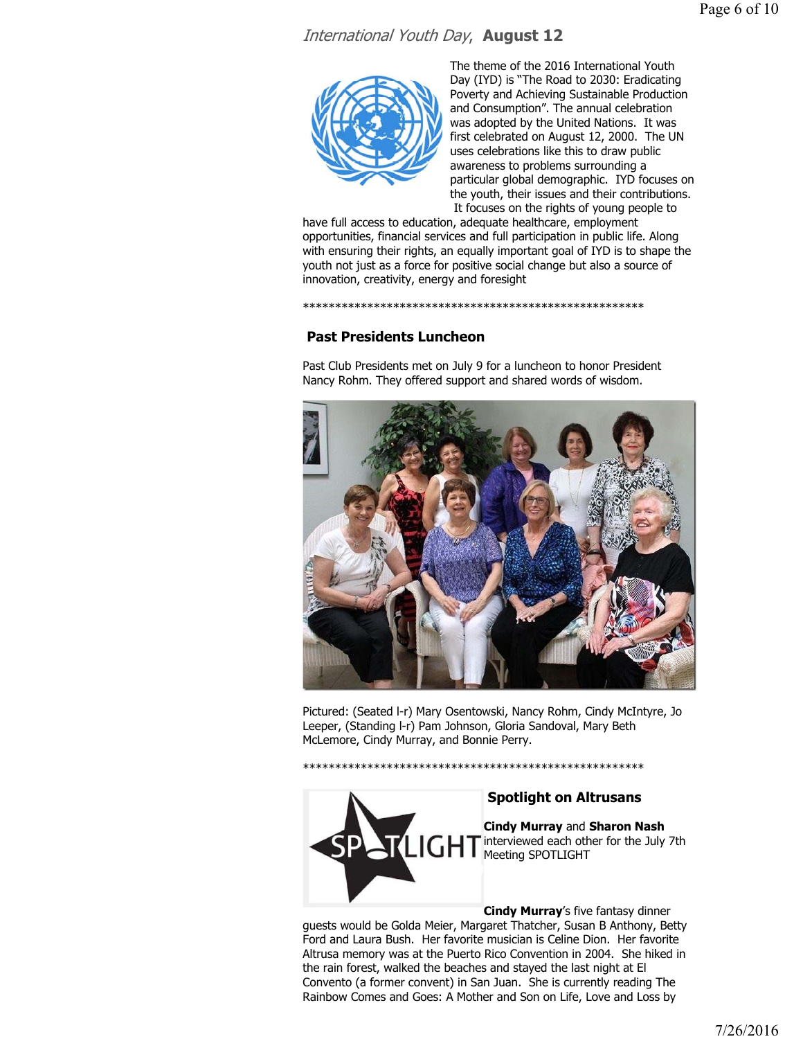# International Youth Day, **August 12**



The theme of the 2016 International Youth Day (IYD) is "The Road to 2030: Eradicating Poverty and Achieving Sustainable Production and Consumption". The annual celebration was adopted by the United Nations. It was first celebrated on August 12, 2000. The UN uses celebrations like this to draw public awareness to problems surrounding a particular global demographic. IYD focuses on the youth, their issues and their contributions. It focuses on the rights of young people to

have full access to education, adequate healthcare, employment opportunities, financial services and full participation in public life. Along with ensuring their rights, an equally important goal of IYD is to shape the youth not just as a force for positive social change but also a source of innovation, creativity, energy and foresight

# **Past Presidents Luncheon**

Past Club Presidents met on July 9 for a luncheon to honor President Nancy Rohm. They offered support and shared words of wisdom.

\*\*\*\*\*\*\*\*\*\*\*\*\*\*\*\*\*\*\*\*\*\*\*\*\*\*\*\*\*\*\*\*\*\*\*\*\*\*\*\*\*\*\*\*\*\*\*\*\*\*\*\*\*



Pictured: (Seated l-r) Mary Osentowski, Nancy Rohm, Cindy McIntyre, Jo Leeper, (Standing l-r) Pam Johnson, Gloria Sandoval, Mary Beth McLemore, Cindy Murray, and Bonnie Perry.

\*\*\*\*\*\*\*\*\*\*\*\*\*\*\*\*\*\*\*\*\*\*\*\*\*\*\*\*\*\*\*\*\*\*\*\*\*\*\*\*\*\*\*\*\*\*\*\*\*\*\*\*\*



# **Spotlight on Altrusans**

**Cindy Murray** and **Sharon Nash** interviewed each other for the July 7th Meeting SPOTLIGHT

**Cindy Murray**'s five fantasy dinner guests would be Golda Meier, Margaret Thatcher, Susan B Anthony, Betty Ford and Laura Bush. Her favorite musician is Celine Dion. Her favorite Altrusa memory was at the Puerto Rico Convention in 2004. She hiked in the rain forest, walked the beaches and stayed the last night at El Convento (a former convent) in San Juan. She is currently reading The Rainbow Comes and Goes: A Mother and Son on Life, Love and Loss by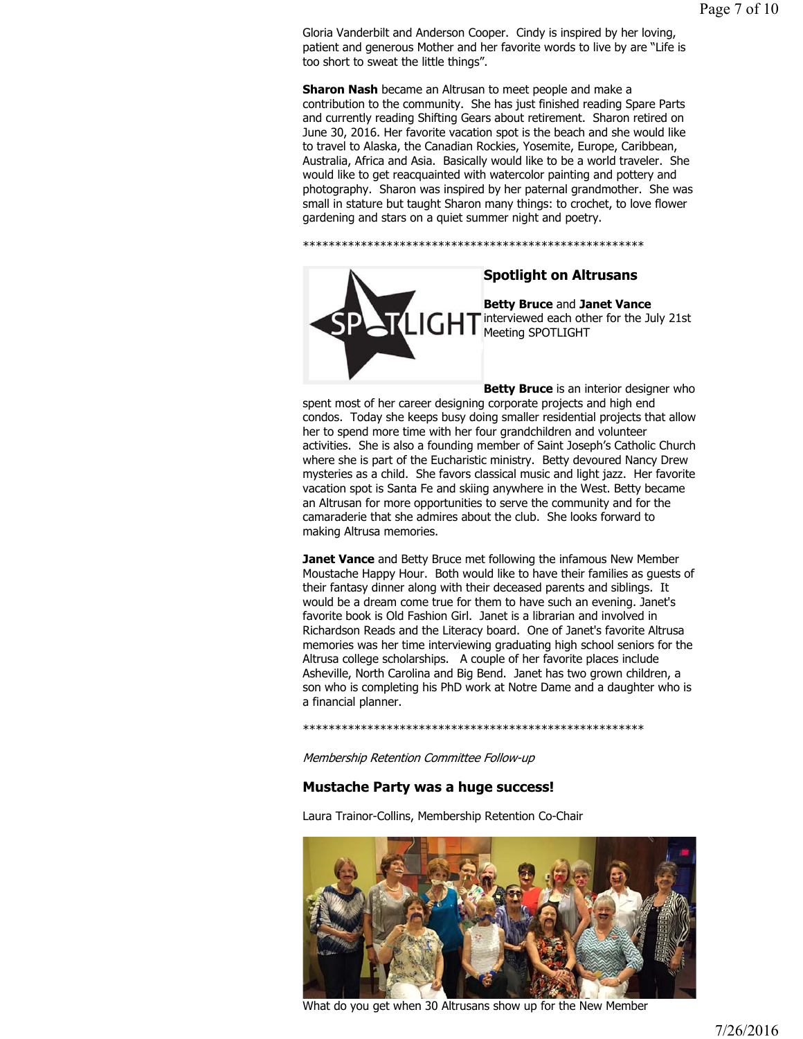Gloria Vanderbilt and Anderson Cooper. Cindy is inspired by her loving, patient and generous Mother and her favorite words to live by are "Life is too short to sweat the little things".

**Sharon Nash** became an Altrusan to meet people and make a contribution to the community. She has just finished reading Spare Parts and currently reading Shifting Gears about retirement. Sharon retired on June 30, 2016. Her favorite vacation spot is the beach and she would like to travel to Alaska, the Canadian Rockies, Yosemite, Europe, Caribbean, Australia, Africa and Asia. Basically would like to be a world traveler. She would like to get reacquainted with watercolor painting and pottery and photography. Sharon was inspired by her paternal grandmother. She was small in stature but taught Sharon many things: to crochet, to love flower gardening and stars on a quiet summer night and poetry.

\*\*\*\*\*\*\*\*\*\*\*\*\*\*\*\*\*\*\*\*\*\*\*\*\*\*\*\*\*\*\*\*\*\*\*\*\*\*\*\*\*\*\*\*\*\*\*\*\*\*\*\*\*



# **Spotlight on Altrusans**

**Betty Bruce** and **Janet Vance** interviewed each other for the July 21st Meeting SPOTLIGHT

**Betty Bruce** is an interior designer who spent most of her career designing corporate projects and high end condos. Today she keeps busy doing smaller residential projects that allow her to spend more time with her four grandchildren and volunteer activities. She is also a founding member of Saint Joseph's Catholic Church where she is part of the Eucharistic ministry. Betty devoured Nancy Drew mysteries as a child. She favors classical music and light jazz. Her favorite vacation spot is Santa Fe and skiing anywhere in the West. Betty became an Altrusan for more opportunities to serve the community and for the camaraderie that she admires about the club. She looks forward to making Altrusa memories.

**Janet Vance** and Betty Bruce met following the infamous New Member Moustache Happy Hour. Both would like to have their families as guests of their fantasy dinner along with their deceased parents and siblings. It would be a dream come true for them to have such an evening. Janet's favorite book is Old Fashion Girl. Janet is a librarian and involved in Richardson Reads and the Literacy board. One of Janet's favorite Altrusa memories was her time interviewing graduating high school seniors for the Altrusa college scholarships. A couple of her favorite places include Asheville, North Carolina and Big Bend. Janet has two grown children, a son who is completing his PhD work at Notre Dame and a daughter who is a financial planner.

\*\*\*\*\*\*\*\*\*\*\*\*\*\*\*\*\*\*\*\*\*\*\*\*\*\*\*\*\*\*\*\*\*\*\*\*\*\*\*\*\*\*\*\*\*\*\*\*\*\*\*\*\*

Membership Retention Committee Follow-up

# **Mustache Party was a huge success!**

Laura Trainor-Collins, Membership Retention Co-Chair



What do you get when 30 Altrusans show up for the New Member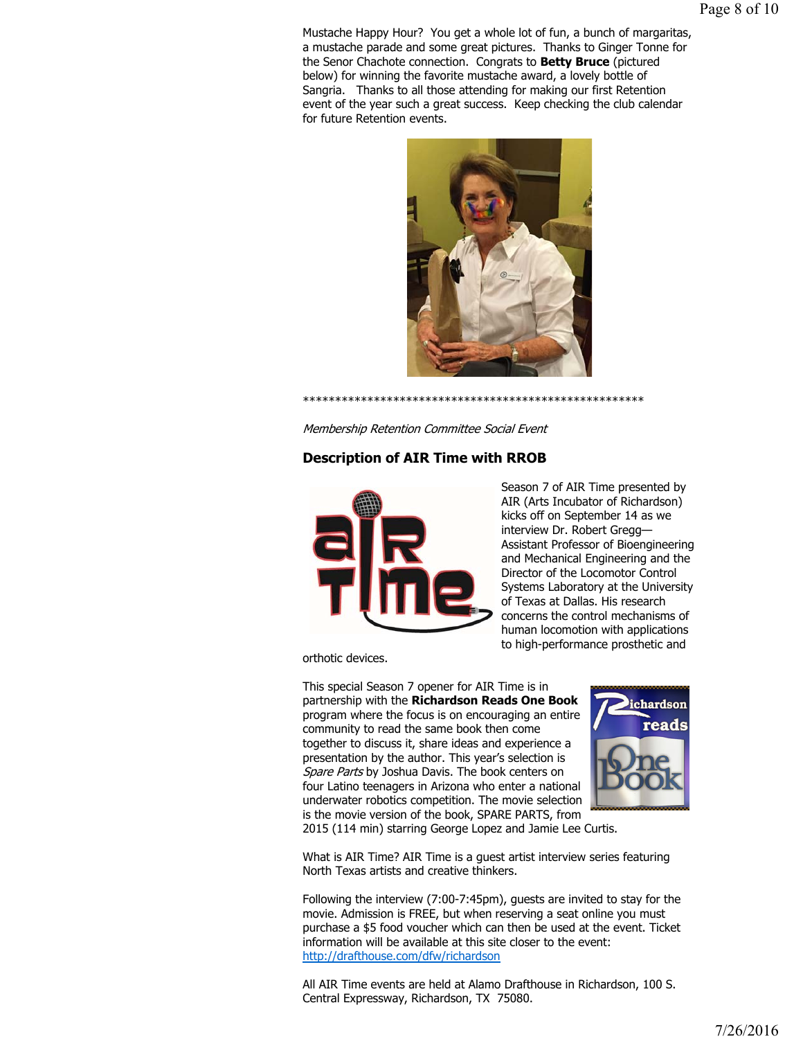Mustache Happy Hour? You get a whole lot of fun, a bunch of margaritas, a mustache parade and some great pictures. Thanks to Ginger Tonne for the Senor Chachote connection. Congrats to **Betty Bruce** (pictured below) for winning the favorite mustache award, a lovely bottle of Sangria. Thanks to all those attending for making our first Retention event of the year such a great success. Keep checking the club calendar for future Retention events.



\*\*\*\*\*\*\*\*\*\*\*\*\*\*\*\*\*\*\*\*\*\*\*\*\*\*\*\*\*\*\*\*\*\*\*\*\*\*\*\*\*\*\*\*\*\*\*\*\*\*\*\*\*

Membership Retention Committee Social Event

# **Description of AIR Time with RROB**



Season 7 of AIR Time presented by AIR (Arts Incubator of Richardson) kicks off on September 14 as we interview Dr. Robert Gregg— Assistant Professor of Bioengineering and Mechanical Engineering and the Director of the Locomotor Control Systems Laboratory at the University of Texas at Dallas. His research concerns the control mechanisms of human locomotion with applications to high-performance prosthetic and

orthotic devices.

This special Season 7 opener for AIR Time is in partnership with the **Richardson Reads One Book** program where the focus is on encouraging an entire community to read the same book then come together to discuss it, share ideas and experience a presentation by the author. This year's selection is Spare Parts by Joshua Davis. The book centers on four Latino teenagers in Arizona who enter a national underwater robotics competition. The movie selection is the movie version of the book, SPARE PARTS, from



2015 (114 min) starring George Lopez and Jamie Lee Curtis.

What is AIR Time? AIR Time is a guest artist interview series featuring North Texas artists and creative thinkers.

Following the interview (7:00-7:45pm), guests are invited to stay for the movie. Admission is FREE, but when reserving a seat online you must purchase a \$5 food voucher which can then be used at the event. Ticket information will be available at this site closer to the event: http://drafthouse.com/dfw/richardson

All AIR Time events are held at Alamo Drafthouse in Richardson, 100 S. Central Expressway, Richardson, TX 75080.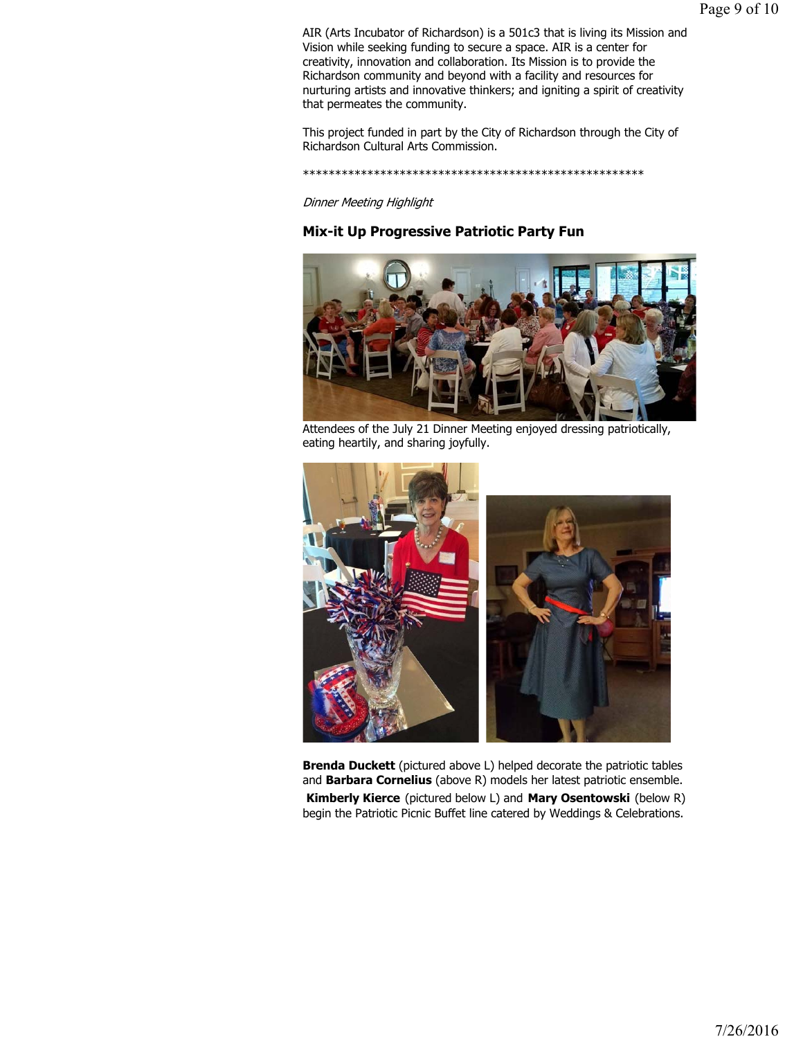AIR (Arts Incubator of Richardson) is a 501c3 that is living its Mission and Vision while seeking funding to secure a space. AIR is a center for creativity, innovation and collaboration. Its Mission is to provide the Richardson community and beyond with a facility and resources for nurturing artists and innovative thinkers; and igniting a spirit of creativity that permeates the community.

This project funded in part by the City of Richardson through the City of Richardson Cultural Arts Commission.

\*\*\*\*\*\*\*\*\*\*\*\*\*\*\*\*\*\*\*\*\*\*\*\*\*\*\*\*\*\*\*\*\*\*\*\*\*\*\*\*\*\*\*\*\*\*\*\*\*\*\*\*\*

Dinner Meeting Highlight

# **Mix-it Up Progressive Patriotic Party Fun**



Attendees of the July 21 Dinner Meeting enjoyed dressing patriotically, eating heartily, and sharing joyfully.



**Brenda Duckett** (pictured above L) helped decorate the patriotic tables and **Barbara Cornelius** (above R) models her latest patriotic ensemble. **Kimberly Kierce** (pictured below L) and **Mary Osentowski** (below R) begin the Patriotic Picnic Buffet line catered by Weddings & Celebrations.